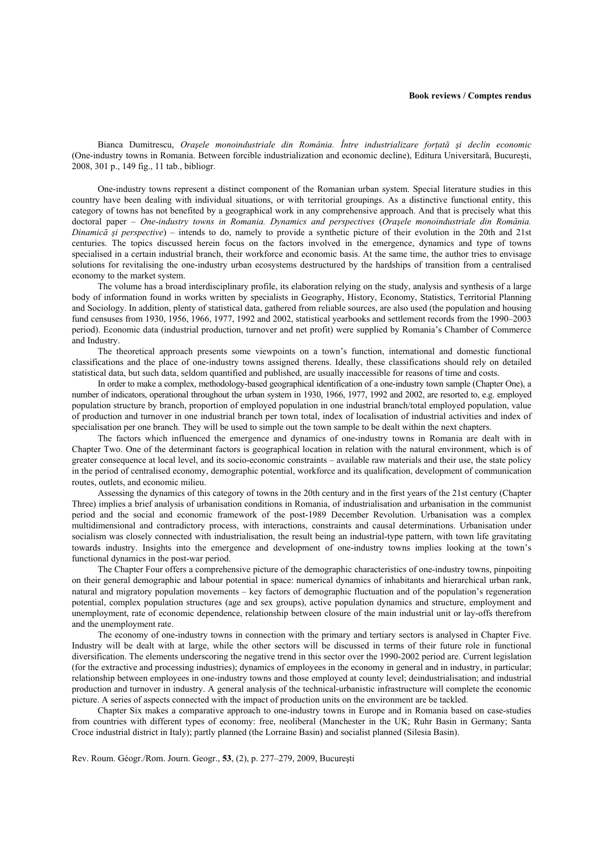Bianca Dumitrescu, *Oraşele monoindustriale din România. Între industrializare forţată şi declin economic* (One-industry towns in Romania. Between forcible industrialization and economic decline), Editura Universitară, Bucureşti, 2008, 301 p., 149 fig., 11 tab., bibliogr.

One-industry towns represent a distinct component of the Romanian urban system. Special literature studies in this country have been dealing with individual situations, or with territorial groupings. As a distinctive functional entity, this category of towns has not benefited by a geographical work in any comprehensive approach. And that is precisely what this doctoral paper – *One-industry towns in Romania. Dynamics and perspectives* (*Oraşele monoindustriale din România. Dinamică şi perspective*) – intends to do, namely to provide a synthetic picture of their evolution in the 20th and 21st centuries. The topics discussed herein focus on the factors involved in the emergence, dynamics and type of towns specialised in a certain industrial branch, their workforce and economic basis. At the same time, the author tries to envisage solutions for revitalising the one-industry urban ecosystems destructured by the hardships of transition from a centralised economy to the market system.

The volume has a broad interdisciplinary profile, its elaboration relying on the study, analysis and synthesis of a large body of information found in works written by specialists in Geography, History, Economy, Statistics, Territorial Planning and Sociology. In addition, plenty of statistical data, gathered from reliable sources, are also used (the population and housing fund censuses from 1930, 1956, 1966, 1977, 1992 and 2002, statistical yearbooks and settlement records from the 1990–2003 period). Economic data (industrial production, turnover and net profit) were supplied by Romania's Chamber of Commerce and Industry.

The theoretical approach presents some viewpoints on a town's function, international and domestic functional classifications and the place of one-industry towns assigned therens. Ideally, these classifications should rely on detailed statistical data, but such data, seldom quantified and published, are usually inaccessible for reasons of time and costs.

In order to make a complex, methodology-based geographical identification of a one-industry town sample (Chapter One), a number of indicators, operational throughout the urban system in 1930, 1966, 1977, 1992 and 2002, are resorted to, e.g. employed population structure by branch, proportion of employed population in one industrial branch/total employed population, value of production and turnover in one industrial branch per town total, index of localisation of industrial activities and index of specialisation per one branch. They will be used to simple out the town sample to be dealt within the next chapters.

The factors which influenced the emergence and dynamics of one-industry towns in Romania are dealt with in Chapter Two. One of the determinant factors is geographical location in relation with the natural environment, which is of greater consequence at local level, and its socio-economic constraints – available raw materials and their use, the state policy in the period of centralised economy, demographic potential, workforce and its qualification, development of communication routes, outlets, and economic milieu.

Assessing the dynamics of this category of towns in the 20th century and in the first years of the 21st century (Chapter Three) implies a brief analysis of urbanisation conditions in Romania, of industrialisation and urbanisation in the communist period and the social and economic framework of the post-1989 December Revolution. Urbanisation was a complex multidimensional and contradictory process, with interactions, constraints and causal determinations. Urbanisation under socialism was closely connected with industrialisation, the result being an industrial-type pattern, with town life gravitating towards industry. Insights into the emergence and development of one-industry towns implies looking at the town's functional dynamics in the post-war period.

The Chapter Four offers a comprehensive picture of the demographic characteristics of one-industry towns, pinpoiting on their general demographic and labour potential in space: numerical dynamics of inhabitants and hierarchical urban rank, natural and migratory population movements – key factors of demographic fluctuation and of the population's regeneration potential, complex population structures (age and sex groups), active population dynamics and structure, employment and unemployment, rate of economic dependence, relationship between closure of the main industrial unit or lay-offs therefrom and the unemployment rate.

The economy of one-industry towns in connection with the primary and tertiary sectors is analysed in Chapter Five. Industry will be dealt with at large, while the other sectors will be discussed in terms of their future role in functional diversification. The elements underscoring the negative trend in this sector over the 1990-2002 period are. Current legislation (for the extractive and processing industries); dynamics of employees in the economy in general and in industry, in particular; relationship between employees in one-industry towns and those employed at county level; deindustrialisation; and industrial production and turnover in industry. A general analysis of the technical-urbanistic infrastructure will complete the economic picture. A series of aspects connected with the impact of production units on the environment are be tackled.

Chapter Six makes a comparative approach to one-industry towns in Europe and in Romania based on case-studies from countries with different types of economy: free, neoliberal (Manchester in the UK; Ruhr Basin in Germany; Santa Croce industrial district in Italy); partly planned (the Lorraine Basin) and socialist planned (Silesia Basin).

Rev. Roum. Géogr./Rom. Journ. Geogr., **53**, (2), p. 277–279, 2009, Bucureşti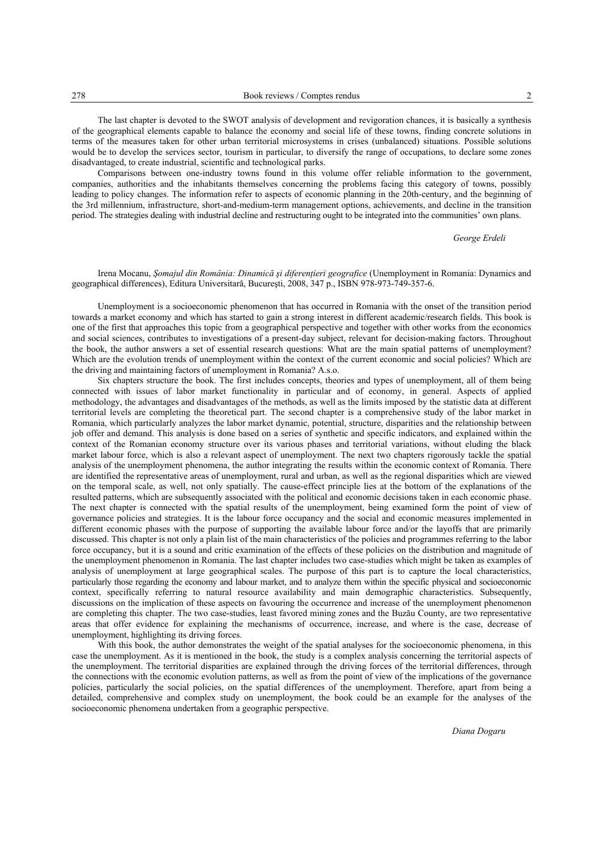The last chapter is devoted to the SWOT analysis of development and revigoration chances, it is basically a synthesis of the geographical elements capable to balance the economy and social life of these towns, finding concrete solutions in terms of the measures taken for other urban territorial microsystems in crises (unbalanced) situations. Possible solutions would be to develop the services sector, tourism in particular, to diversify the range of occupations, to declare some zones disadvantaged, to create industrial, scientific and technological parks.

Comparisons between one-industry towns found in this volume offer reliable information to the government, companies, authorities and the inhabitants themselves concerning the problems facing this category of towns, possibly leading to policy changes. The information refer to aspects of economic planning in the 20th-century, and the beginning of the 3rd millennium, infrastructure, short-and-medium-term management options, achievements, and decline in the transition period. The strategies dealing with industrial decline and restructuring ought to be integrated into the communities' own plans.

*George Erdeli* 

## Irena Mocanu, *Somajul din România: Dinamică și diferențieri geografice* (Unemployment in Romania: Dynamics and geographical differences), Editura Universitară, Bucureşti, 2008, 347 p., ISBN 978-973-749-357-6.

Unemployment is a socioeconomic phenomenon that has occurred in Romania with the onset of the transition period towards a market economy and which has started to gain a strong interest in different academic/research fields. This book is one of the first that approaches this topic from a geographical perspective and together with other works from the economics and social sciences, contributes to investigations of a present-day subject, relevant for decision-making factors. Throughout the book, the author answers a set of essential research questions: What are the main spatial patterns of unemployment? Which are the evolution trends of unemployment within the context of the current economic and social policies? Which are the driving and maintaining factors of unemployment in Romania? A.s.o.

Six chapters structure the book. The first includes concepts, theories and types of unemployment, all of them being connected with issues of labor market functionality in particular and of economy, in general. Aspects of applied methodology, the advantages and disadvantages of the methods, as well as the limits imposed by the statistic data at different territorial levels are completing the theoretical part. The second chapter is a comprehensive study of the labor market in Romania, which particularly analyzes the labor market dynamic, potential, structure, disparities and the relationship between job offer and demand. This analysis is done based on a series of synthetic and specific indicators, and explained within the context of the Romanian economy structure over its various phases and territorial variations, without eluding the black market labour force, which is also a relevant aspect of unemployment. The next two chapters rigorously tackle the spatial analysis of the unemployment phenomena, the author integrating the results within the economic context of Romania. There are identified the representative areas of unemployment, rural and urban, as well as the regional disparities which are viewed on the temporal scale, as well, not only spatially. The cause-effect principle lies at the bottom of the explanations of the resulted patterns, which are subsequently associated with the political and economic decisions taken in each economic phase. The next chapter is connected with the spatial results of the unemployment, being examined form the point of view of governance policies and strategies. It is the labour force occupancy and the social and economic measures implemented in different economic phases with the purpose of supporting the available labour force and/or the layoffs that are primarily discussed. This chapter is not only a plain list of the main characteristics of the policies and programmes referring to the labor force occupancy, but it is a sound and critic examination of the effects of these policies on the distribution and magnitude of the unemployment phenomenon in Romania. The last chapter includes two case-studies which might be taken as examples of analysis of unemployment at large geographical scales. The purpose of this part is to capture the local characteristics, particularly those regarding the economy and labour market, and to analyze them within the specific physical and socioeconomic context, specifically referring to natural resource availability and main demographic characteristics. Subsequently, discussions on the implication of these aspects on favouring the occurrence and increase of the unemployment phenomenon are completing this chapter. The two case-studies, least favored mining zones and the Buzău County, are two representative areas that offer evidence for explaining the mechanisms of occurrence, increase, and where is the case, decrease of unemployment, highlighting its driving forces.

With this book, the author demonstrates the weight of the spatial analyses for the socioeconomic phenomena, in this case the unemployment. As it is mentioned in the book, the study is a complex analysis concerning the territorial aspects of the unemployment. The territorial disparities are explained through the driving forces of the territorial differences, through the connections with the economic evolution patterns, as well as from the point of view of the implications of the governance policies, particularly the social policies, on the spatial differences of the unemployment. Therefore, apart from being a detailed, comprehensive and complex study on unemployment, the book could be an example for the analyses of the socioeconomic phenomena undertaken from a geographic perspective.

*Diana Dogaru*